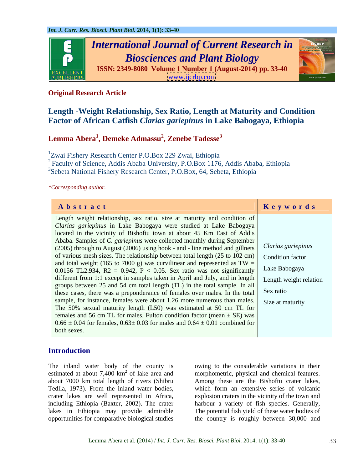

# **Original Research Article**

# **Length -Weight Relationship, Sex Ratio, Length at Maturity and Condition Factor of African Catfish** *Clarias gariepinus* **in Lake Babogaya, Ethiopia**

#### **Lemma Abera<sup>1</sup> , Demeke Admassu<sup>2</sup> , Zenebe Tadesse<sup>3</sup>**

1Zwai Fishery Research Center P.O.Box 229 Zwai, Ethiopia

2 Faculty of Science, Addis Ababa University, P.O.Box 1176, Addis Ababa, Ethiopia

3Sebeta National Fishery Research Center, P.O.Box, 64, Sebeta, Ethiopia

*\*Corresponding author.*

| Abstract                                                                                                        | Keywords |
|-----------------------------------------------------------------------------------------------------------------|----------|
| Length weight relationship, sex ratio, size at maturity and condition of                                        |          |
| Clarias gariepinus in Lake Babogaya were studied at Lake Babogaya                                               |          |
| located in the vicinity of Bishoftu town at about 45 Km East of Addis                                           |          |
| Ababa. Samples of C. gariepinus were collected monthly during September                                         |          |
| $(2005)$ through to August (2006) using hook - and - line method and gillnets $\vert$ <i>Clarias gariepinus</i> |          |
| of various mesh sizes. The relationship between total length $(25 \text{ to } 102 \text{ cm})$ Condition factor |          |
| and total weight (165 to 7000 g) was curvilinear and represented as $TW =$                                      |          |
| 0.0156 TL2.934, R2 = 0.942, P < 0.05. Sex ratio was not significantly Lake Babogaya                             |          |
| different from 1:1 except in samples taken in April and July, and in length Length weight relation              |          |
| groups between 25 and 54 cm total length (TL) in the total sample. In all                                       |          |
| these cases, there was a preponderance of females over males. In the total Sex ratio                            |          |
| sample, for instance, females were about 1.26 more numerous than males. Size at maturity                        |          |
| The 50% sexual maturity length $(L50)$ was estimated at 50 cm TL for                                            |          |
| females and 56 cm TL for males. Fulton condition factor (mean $\pm$ SE) was                                     |          |
| $0.66 \pm 0.04$ for females, $0.63 \pm 0.03$ for males and $0.64 \pm 0.01$ combined for                         |          |
| both sexes.                                                                                                     |          |

# **Introduction**

The inland water body of the county is estimated at about 7,400 km<sup>2</sup> of lake area and morphometric, physical and chemical features. about 7000 km total length of rivers (Shibru Among these are the Bishoftu crater lakes, Tedlla, 1973). From the inland water bodies, crater lakes are well represented in Africa, explosion craters in the vicinity of the town and including Ethiopia (Baxter, 2002). The crater harbour a variety of fish species. Generally, lakes in Ethiopia may provide admirable The potential fish yield of these water bodies of opportunities for comparative biological studies

owing to the considerable variations in their which form an extensive series of volcanic the country is roughly between 30,000 and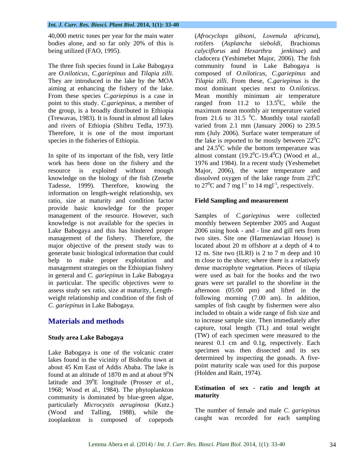40,000 metric tones per year for the main water (*Afrocyclops gibsoni*, *Lovenula africana*), being utilized (FAO, 1995). The calvert of the same value of the same value of the same value of the same value of the same value of the same value of the same value of the same value of the same value of the same value of

aiming at enhancing the fishery of the lake. most dominant species next to *O.niloticus*. From these species *C.gariepinus* is a case in Mean monthly minimum air temperature

knowledge on the biology of the fish (Zenebe dissolved oxygen of the lake range from  $23^{\circ}$ C Tadesse, 1999). Therefore, knowing the information on length-weight relationship, sex ratio, size at maturity and condition factor provide basic knowledge for the proper generate basic biological information that could 12 m. Site two (ILRI) is 2 to 7 m deep and 10 in general and *C. gariepinus* in Lake Babogaya

Lake Babogaya is one of the volcanic crater lakes found in the vicinity of Bishoftu town at about 45 Km East of Addis Ababa. The lake is found at an altitude of 1870 m and at about  $9^0N$ latitude and  $39^0E$  longitude (Prosser *et al.*, 0E longitude (Prosser *et al.,* 1968; Wood et al., 1984). The phytoplankton<br>community is dominated by blue-green algae **maturity** community is dominated by blue-green algae, particularly *Microcystis aeruginosa* (Kutz.) (Wood and Talling, 1988), while the zooplankton is composed of copepods

bodies alone, and so far only 20% of this is rotifers (Asplancha sieboldi, Brachionus The three fish species found in Lake Babogaya community found in Lake Babogaya is are *O.niloticus*, *C.gariepinus* and *Tilapia zilli*. Composed of *O.niloticus*, *C.gariepinus* and They are introduced in the lake by the MOA *Tilapia zilli*. From these, *C.gariepinus* is the point to this study. *C.gariepinus*, a member of ranged from 11.2 to 13.5<sup>o</sup>C, while the the group, is a broadly distributed in Ethiopia maximum mean monthly air temperature varied (Trewavas, 1983). It is found in almost all lakes from 21.6 to 31.5  $\degree$ C. Monthly total rainfall and rivers of Ethiopia (Shibru Tedla, 1973). varied from 2.1 mm (January 2006) to 239.5 Therefore, it is one of the most important mm (July 2006). Surface water temperature of species in the fisheries of Ethiopia.  $\qquad \qquad$  the lake is reported to be mostly between  $22^{\circ}C$ and  $24.5^{\circ}$ C while the bottom temperature was<br>In spite of its important of the fish, very little almost constant  $(19.2^{\circ}C \cdot 19.4^{\circ}C)$  (Wood et al., work has been done on the fishery and the 1976 and 1984). In a recent study (Yeshemebet resource is exploited without enough Major, 2006), the water temperature and (*Afrocyclops gibsoni*, *Lovenula africana*), rotifers (*Asplancha sieboldi*, Brachionus *calyciflorus* and *Hexarthra jenkinae*) and cladocera (Yeshimebet Major, 2006). The fish composed of *O.niloticus*, *C.gariepinus* and *Tilapia zilli*. From these, *C.gariepinus* is the most dominant species next to *O.niloticus*. Mean monthly minimum air temperature  ${}^{0}C$ , while the <sup>0</sup>C. Monthly total rainfall  ${}^{0}C$ and  $24.5^{\circ}$ C while the bottom temperature was  ${}^{0}C$  while the bottom temperature was almost constant  $(19.2^{\circ}C - 19.4^{\circ}C)$  (Wood et al.,  $^{0}$ C-19.4 $^{0}$ C) (Wood et al., dissolved oxygen of the lake range from  $23^{\circ}$ C  ${}^{0}C$ to  $27^{\circ}$ C and 7 mg l<sup>-1</sup> to 14 mgl<sup>-1</sup>, respectively. to  $14 \text{ mgl}^{-1}$ , respectively. , respectively.

### **Field Sampling and measurement**

management of the resource. However, such Samples of *C.gariepinus* were collected knowledge is not available for the species in monthly between September 2005 and August Lake Babogaya and this has hindered proper 2006 using hook - and - line and gill nets from management of the fishery. Therefore, the two sites. Site one (Harmeniawian House) is major objective of the present study was to located about 20 m offshore at a depth of 4 to help to make proper exploitation and m close to the shore; where there is a relatively management strategies on the Ethiopian fishery dense macrophyte vegetation. Pieces of tilapia in particular. The specific objectives were to gears were set parallel to the shoreline in the assess study sex ratio, size at maturity, Length- afternoon (05:00 pm) and lifted in the weight relationship and condition of the fish of following morning (7.00 am). In addition, *C. gariepinus* in Lake Babogaya. samples of fish caught by fishermen were also **Materials and methods** to increase sample size. Then immediately after **Study area Lake Babogaya**  (TW) of each specimen were measured to the  ${}^{0}\text{N}$  (Holden and Raitt, 1974). 12 m. Site two (ILRI) is 2 to 7 m deep and 10 were used as bait for the hooks and the two included to obtain a wide range of fish size and capture, total length (TL) and total weight nearest 0.1 cm and 0.1g, respectively. Each specimen was then dissected and its sex determined by inspecting the gonads. A five point maturity scale was used for this purpose

# **Estimation of sex - ratio and length at maturity**

The number of female and male *C. gariepinus* caught was recorded for each sampling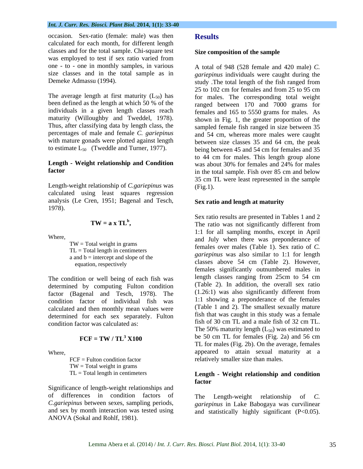### *Int. J. Curr. Res. Biosci. Plant Biol.* **2014, 1(1): 33-40**

occasion. Sex-ratio (female: male) was then Results calculated for each month, for different length classes and for the total sample. Chi-square test was employed to test if sex ratio varied from one - to - one in monthly samples, in various size classes and in the total sample as in *gariepinus* individuals were caught during the

maturity (Willoughby and Tweddel, 1978). to estimate  $L_{50}$  (Tweddle and Turner, 1977).

Length-weight relationship of *C.gariepinus* was calculated using least squares regression analysis (Le Cren, 1951; Bagenal and Tesch, 1978).

a and  $b =$  intercept and slope of the

determined by computing Fulton condition factor (Bagenal and Tesch, 1978). The condition factor of individual fish was calculated and then monthly mean values were determined for each sex separately. Fulton

 $TW = Total weight in grams$ 

Significance of length-weight relationships and of differences in condition factors of The Length-weight relationship of C. and sex by month interaction was tested using ANOVA (Sokal and Rohlf, 1981).

## **Results**

#### **Size composition of the sample**

Demeke Admassu (1994). Study The total length of the fish ranged from The average length at first maturity  $(L_{50})$  has for males. The corresponding total weight been defined as the length at which 50 % of the ranged between 170 and 7000 grams for individuals in a given length classes reach females and 165 to 5550 grams for males. As Thus, after classifying data by length class, the sampled female fish ranged in size between 35 percentages of male and female *C. gariepinus*  and 54 cm, whereas more males were caught with mature gonads were plotted against length between size classes 35 and 64 cm, the peak **Length - Weight relationship and Condition factor** in the total sample. Fish over 85 cm and below A total of 948 (528 female and 420 male) *C.*  study .The total length of the fish ranged from 25 to 102 cm for females and from 25 to 95 cm shown in Fig. 1, the greater proportion of the being between 45 and 54 cm for females and 35 to 44 cm for males. This length group alone was about 30% for females and 24% for males 35 cm TL were least represented in the sample (Fig.1).

### **Sex ratio and length at maturity**

 $TW = a \times TL<sup>b</sup>$ , The ratio was not significantly different from Where,<br>and July when there was preponderance of TW = Total weight in grams<br>
Females over males (Table 1). Sex ratio of *C*.  $TL = Total length in centimeters$ <br> *gariepinus* was also similar to 1:1 for length<br> *gariepinus* was also similar to 1:1 for length equation, respectively equation, respectively equation, respectively The condition or well being of each fish was length classes ranging from 25cm to 54 cm condition factor was calculated as:  $\frac{1}{x}$  fish of 30 cm TL and a male fish of 32 cm TL.  $\text{FCF} = \text{TW} / \text{TL}^3$   $\text{X100}$  be 50 cm TL for females (Fig. 2a) and 56 cm Where, appeared to attain sexual maturity at a FCF = Fulton condition factor relatively smaller size than males. Sex ratio results are presented in Tables 1 and 2 1:1 for all sampling months, except in April classes above 54 cm (Table 2). However, females significantly outnumbered males in length classes ranging from 25cm to 54 cm (Table 2). In addition, the overall sex ratio (1.26:1) was also significantly different from 1:1 showing a preponderance of the females (Table 1 and 2). The smallest sexually mature fish that was caught in this study was a female The 50% maturity length  $(L_{50})$  was estimated to TL for males (Fig. 2b). On the average, females

### TL = Total length in centimeters **Length - Weight relationship and condition factor**

*C.gariepinus* between sexes, sampling periods, *gariepinus* in Lake Babogaya was curvilinear The Length-weight relationship and statistically highly significant (P<0.05).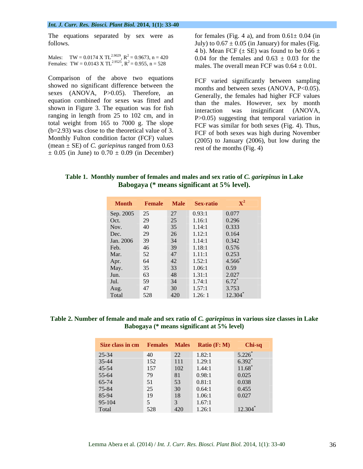The equations separated by sex were as follows.  $July)$  to  $0.67 \pm 0.05$  (in January) for males (Fig.

Females: TW = 0.0143 X TL<sup>2.9525</sup>, R<sup>2</sup> = 0.955, n = 528

Comparison of the above two equations showed no significant difference between the sexes (ANOVA, P>0.05). Therefore, an equation combined for sexes was fitted and shown in Figure 3. The equation was for fish interaction was insignificant (ANOVA, ranging in length from 25 to 102 cm, and in total weight from 165 to 7000 g. The slope (b=2.93) was close to the theoretical value of 3. Monthly Fulton condition factor (FCF) values  $\pm$  0.05 (in June) to 0.70  $\pm$  0.09 (in December)

Males: TW = 0.0174 X TL<sup>2,9029</sup>, R<sup>2</sup> = 0.9673, n = 420 0.04 for the females and 0.63  $\pm$  0.03 for the for females (Fig. 4 a), and from  $0.61 \pm 0.04$  (in 4 b). Mean FCF ( $\pm$  SE) was found to be 0.66  $\pm$ males. The overall mean FCF was  $0.64 \pm 0.01$ .

(mean  $\pm$  SE) of *C.* gariepinus ranged from 0.63 rest of the months (Fig. 4) FCF varied significantly between sampling months and between sexes (ANOVA, P<0.05). Generally, the females had higher FCF values than the males. However, sex by month interaction was insignificant (ANOVA, P>0.05) suggesting that temporal variation in FCF was similar for both sexes (Fig. 4). Thus, FCF of both sexes was high during November (2005) to January (2006), but low during the rest of the months (Fig. 4)

**Table 1. Monthly number of females and males and sex ratio of** *C. gariepinus* **in Lake Babogaya (\* means significant at 5% level).**

|                                                               |                                         |    | <b>Month</b> Female Male Sex-ratio $X^2$                                                                           |                                                                              |
|---------------------------------------------------------------|-----------------------------------------|----|--------------------------------------------------------------------------------------------------------------------|------------------------------------------------------------------------------|
| Sep. 2005 25<br>Oct. 29<br>Nov. 40<br>Dec. 29<br>Jan. 2006 39 |                                         |    |                                                                                                                    |                                                                              |
|                                                               |                                         |    | $\frac{27}{25}$ 0.93:1<br>1.16:1                                                                                   | $\frac{0.077}{0.296}$                                                        |
|                                                               |                                         |    | 35 1.14:1                                                                                                          | $\begin{array}{c} 0.333 \\ 0.164 \end{array}$                                |
|                                                               |                                         | 26 | 1.12:1                                                                                                             |                                                                              |
|                                                               |                                         |    | $34$ 1.14:1                                                                                                        | 0.342                                                                        |
| Feb.<br>Mar.                                                  | 46                                      |    |                                                                                                                    |                                                                              |
|                                                               | $\vert$ 52                              |    |                                                                                                                    |                                                                              |
|                                                               | 64                                      |    |                                                                                                                    |                                                                              |
|                                                               |                                         |    |                                                                                                                    |                                                                              |
| Apr.<br>May.<br>Jun.<br>Jul.<br>Aug.<br>Total                 | $\begin{array}{r} 35 \\ 63 \end{array}$ |    | 39 1.18:1<br>39 1.18:1<br>47 1.11:1<br>42 1.52:1<br>33 1.06:1<br>48 1.31:1<br>34 1.74:1<br>30 1.57:1<br>420 1.26:1 | $0.576$<br>0.253<br>4.566 <sup>*</sup><br>0.59<br>2.027<br>6.72 <sup>*</sup> |
|                                                               | $\sqrt{59}$                             |    |                                                                                                                    |                                                                              |
|                                                               | 47                                      |    |                                                                                                                    | $3.753$<br>12.304                                                            |
|                                                               | 528                                     |    |                                                                                                                    |                                                                              |

### **Table 2. Number of female and male and sex ratio of** *C. gariepinus* **in various size classes in Lake Babogaya (\* means significant at 5% level)**

| Size class in cm Females Males Ratio (F: M) Chi-sq                             |                                                                                      |            |        |                                                |
|--------------------------------------------------------------------------------|--------------------------------------------------------------------------------------|------------|--------|------------------------------------------------|
| 25-34<br>35-44<br>45-54<br>55-64<br>55-74<br>75-84<br>85-94<br>95-104<br>Total | 40                                                                                   | 22         | 1.82:1 | $5.226^*$<br>$6.392^*$<br>$11.68^*$<br>$0.025$ |
|                                                                                | 152 111 1.29:1                                                                       |            |        |                                                |
|                                                                                | $\begin{array}{ c c c c c }\n\hline\n157 & \bar{0} & \bar{0} \\ \hline\n\end{array}$ | 102 1.44:1 |        |                                                |
|                                                                                | 79                                                                                   | 81         | 0.98:1 |                                                |
|                                                                                | 51                                                                                   | 53         | 0.81:1 | 0.038                                          |
|                                                                                | 25                                                                                   | 30         | 0.64:1 |                                                |
|                                                                                | 19                                                                                   | 18         | 1.06:1 | $\frac{0.455}{0.027}$                          |
|                                                                                |                                                                                      |            | 1.67:1 |                                                |
|                                                                                | 528                                                                                  | 420        | 1.26:1 | 12.304                                         |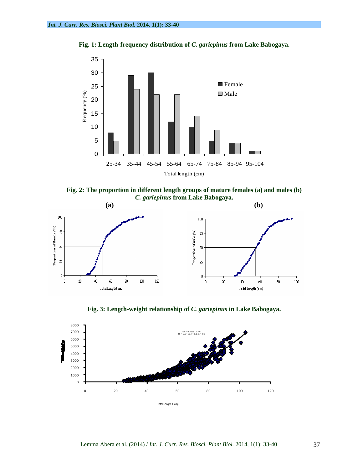



**Fig. 2: The proportion in different length groups of mature females (a) and males (b)** *C. gariepinus* **from Lake Babogaya.**



**Fig. 3: Length-weight relationship of** *C. gariepinus* **in Lake Babogaya.**

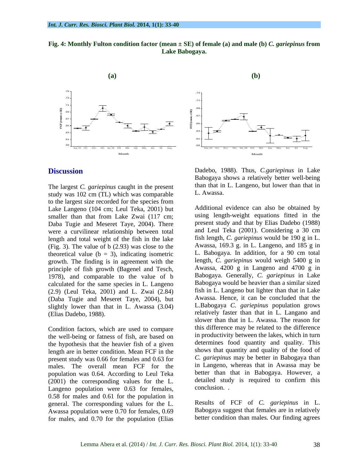



The largest *C. gariepinus* caught in the present than that in study was 102 cm (TI) which was comparable L. Awassa. study was 102 cm (TL) which was comparable to the largest size recorded for the species from Lake Langeno (104 cm; Leul Teka, 2001) but smaller than that from Lake Zwai (117 cm; Daba Tugie and Meseret Taye, 2004). There were a curvilinear relationship between total length and total weight of the fish in the lake (Fig. 3). The value of b (2.93) was close to the theoretical value ( $b = 3$ ), indicating isometric growth. The finding is in agreement with the principle of fish growth (Bagenel and Tesch, 1978), and comparable to the value of b calculated for the same species in L. Langeno (2.9) (Leul Teka, 2001) and L. Zwai (2.84) (Daba Tugie and Meseret Taye, 2004), but slightly lower than that in L. Awassa (3.04)

Condition factors, which are used to compare the well-being or fatness of fish, are based on the hypothesis that the heavier fish of a given length are in better condition. Mean FCF in the present study was 0.66 for females and 0.63 for males. The overall mean FCF for the population was 0.64. According to Leul Teka  $(2001)$  the corresponding values for the L. detailed study detailed study approach a larger of  $63$  for females conclusion. Langeno population were 0.63 for females, 0.58 for males and 0.61 for the population in general. The corresponding values for the L. Awassa population were 0.70 for females, 0.69 for males, and 0.70 for the population (Elias



**Discussion** Dadebo, 1988). Thus, *C.gariepinus* in Lake Babogaya shows a relatively better well-being than that in L. Langeno, but lower than that in L. Awassa.

(Elias Dadebo, 1988). relatively faster than that in L. Langano and Additional evidence can also be obtained by using length-weight equations fitted in the present study and that by Elias Dadebo (1988) and Leul Teka (2001). Considering a 30 cm fish length, *C. gariepinus* would be 190 g in L. Awassa, 169.3 g. in L. Langeno, and 185 g in L. Babogaya. In addition, for a 90 cm total length, *C. gariepinus* would weigh 5400 g in Awassa, 4200 g in Langeno and 4700 g in Babogaya. Generally, *C. gariepinus* in Lake Babogaya would be heavier than a similar sized fish in L. Langeno but lighter than that in Lake Awassa. Hence, it can be concluded that the L.Babogaya *C. gariepinus* population grows slower than that in L. Awassa. The reason for this difference may be related to the difference in productivity between the lakes, which in turn determines food quantity and quality. This shows that quantity and quality of the food of *C. gariepinus* may be better in Babogaya than in Langeno, whereas that in Awassa may be better than that in Babogaya. However, a detailed study is required to confirm this conclusion. .

> Results of FCF of *C. gariepinus* in L. Babogaya suggest that females are in relatively better condition than males. Our finding agrees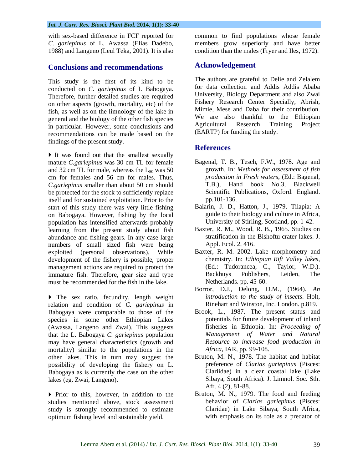### *Int. J. Curr. Res. Biosci. Plant Biol.* **2014, 1(1): 33-40**

with sex-based difference in FCF reported for *C. gariepinus* of L. Awassa (Elias Dadebo, members grow superiorly and have better 1988) and Langeno (Leul Teka, 2001). It is also

# **Conclusions and recommendations**

conducted on *C. gariepinus* of L Babogaya. Therefore, further detailed studies are required on other aspects (growth, mortality, etc) of the fish, as well as on the limnology of the lake in general and the biology of the other fish species<br>
in particular However, some conclusions and <br>
Agricultural Research Training Project in particular. However, some conclusions and recommendations can be made based on the findings of the present study.<br> **References** 

It was found out that the smallest sexually mature *C.gariepinus* was 30 cm TL for female and 32 cm TL for male, whereas the  $L_{50}$  was 50 cm for females and 56 cm for males. Thus, *C.gariepinus* smaller than about 50 cm should be protected for the stock to sufficiently replace Scientific P<br>
itself and for sustained exploitation. Prior to the pp.101-136. itself and for sustained exploitation. Prior to the start of this study there was very little fishing on Babogaya. However, fishing by the local population has intensified afterwards probably learning from the present study about fish abundance and fishing gears. In any case large numbers of small sized fish were being exploited (personal observations). While Baxter, R. M. 2002. Lake morphometry and development of the fishery is possible proper chemistry. In: *Ethiopian Rift Valley lakes*, development of the fishery is possible, proper<br>management actions are required to protect the (Ed.: Tudorancea, C., Taylor, W.D.). management actions are required to protect the (Ed.: Tudorancea, C., Taylor, V<br>immature fish. Therefore, gear size and type Backhuys Publishers, Leiden, immature fish. Therefore, gear size and type **Backhuys** Publishers, Leiden, The must be recommended for the fish in the lake.

The sex ratio, fecundity, length weight relation and condition of *C. gariepinus* in Babogaya were comparable to those of the species in some other Ethiopian Lakes (Awassa, Langeno and Zwai). This suggests that the L. Babogaya *C. gariepinus* population may have general characteristics (growth and mortality) similar to the populations in the other lakes. This in turn may suggest the possibility of developing the fishery on L. Babogaya as is currently the case on the other lakes (eg. Zwai, Langeno). Sibaya, South Africa). J. Limnol. Soc. Sth.

studies mentioned above, stock assessment study is strongly recommended to estimate optimum fishing level and sustainable yield.

common to find populations whose female condition than the males (Fryer and Iles, 1972).

# **Acknowledgement**

This study is the first of its kind to be The authors are grateful to Delie and Zelalem The authors are grateful to Delie and Zelalem for data collection and Addis Addis Ababa University, Biology Department and also Zwai Fishery Research Center Specially, Abrish, Mimie, Mese and Daba for their contribution. We are also thankful to the Ethiopian Agricultural Research Training Project (EARTP) for funding the study.

# **References**

- Bagenal, T. B., Tesch, F.W., 1978. Age and growth. In: *Methods for assessment of fish production in Fresh waters*, (Ed.: Bagenal, T.B.), Hand book No.3, Blackwell Scientific Publications, Oxford. England. pp.101-136.
- Balarin, J. D., Hatton, J., 1979. Tilapia: A guide to their biology and culture in Africa, University of Stirling, Scotland, pp. 1-42.
- Baxter, R. M., Wood, R. B., 1965. Studies on stratification in the Bishoftu crater lakes. J. Appl. Ecol. 2, 416.
- Baxter, R. M. 2002. Lake morphometry and chemistry. In: *Ethiopian Rift Valley lakes*, (Ed.: Tudorancea, C., Taylor, W.D.). Backhuys Publishers, Leiden, The Netherlands. pp. 45-60.
- Borror, D.J., Delong, D.M., (1964). *An introduction to the study of insects*. Holt, Rinehart and Winston, Inc. London. p.819.
- Brook, L., 1987. The present status and potentials for future development of inland fisheries in Ethiopia. In: *Proceeding of Management of Water and Natural Resource to increase food production in Africa*, IAR, pp. 99-108.
- Bruton, M. N., 1978. The habitat and habitat preference of *Clarias gariepinus* (Pisces: Clariidae) in a clear coastal lake (Lake Sibaya, South Africa). J. Limnol. Soc. Sth. Afr. 4 (2), 81-88.
- Prior to this, however, in addition to the Bruton, M. N., 1979. The food and feeding behavior of *Clarias gariepinus* (Pisces: Claridae) in Lake Sibaya, South Africa, with emphasis on its role as a predator of